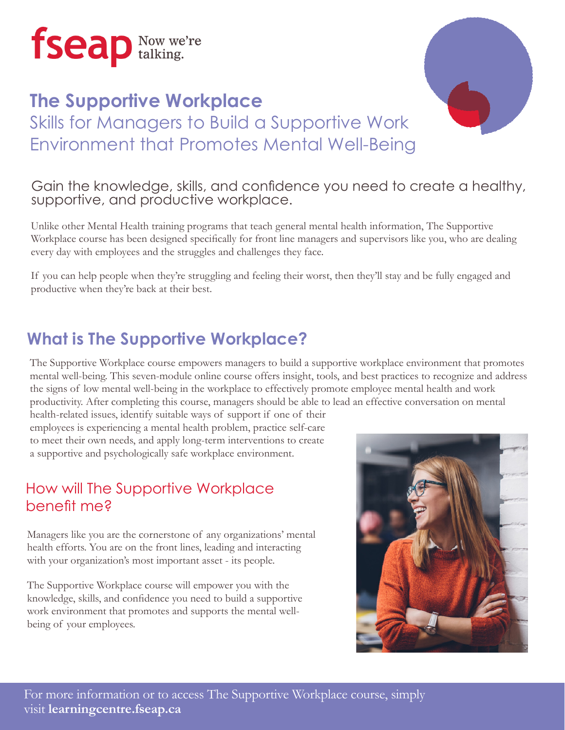

## **The Supportive Workplace** Skills for Managers to Build a Supportive Work Environment that Promotes Mental Well-Being



#### Gain the knowledge, skills, and confidence you need to create a healthy, supportive, and productive workplace.

Unlike other Mental Health training programs that teach general mental health information, The Supportive Workplace course has been designed specifically for front line managers and supervisors like you, who are dealing every day with employees and the struggles and challenges they face.

If you can help people when they're struggling and feeling their worst, then they'll stay and be fully engaged and productive when they're back at their best.

## **What is The Supportive Workplace?**

The Supportive Workplace course empowers managers to build a supportive workplace environment that promotes mental well-being. This seven-module online course offers insight, tools, and best practices to recognize and address the signs of low mental well-being in the workplace to effectively promote employee mental health and work productivity. After completing this course, managers should be able to lead an effective conversation on mental

health-related issues, identify suitable ways of support if one of their employees is experiencing a mental health problem, practice self-care to meet their own needs, and apply long-term interventions to create a supportive and psychologically safe workplace environment.

#### How will The Supportive Workplace benefit me?

Managers like you are the cornerstone of any organizations' mental health efforts. You are on the front lines, leading and interacting with your organization's most important asset - its people.

The Supportive Workplace course will empower you with the knowledge, skills, and confidence you need to build a supportive work environment that promotes and supports the mental wellbeing of your employees.